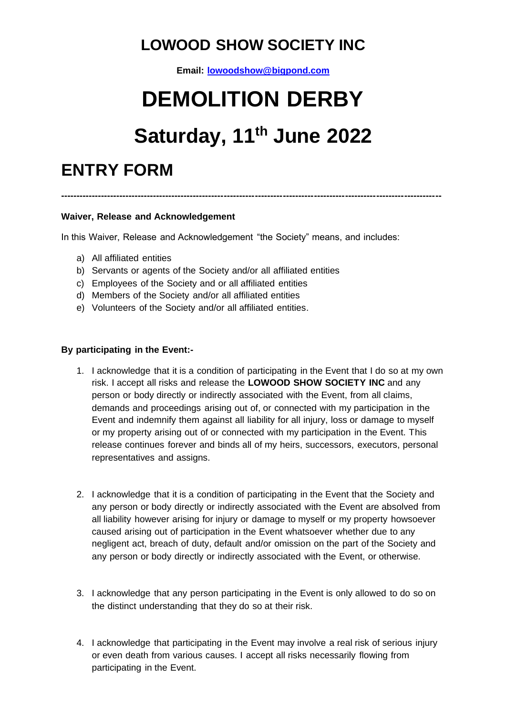### **LOWOOD SHOW SOCIETY INC**

**Email[: lowoodshow@bigpond.com](mailto:lowoodshow@bigpond.com)**

# **DEMOLITION DERBY**

## **Saturday, 11 th June 2022**

**---------------------------------------------------------------------------------------------------------------------------**

### **ENTRY FORM**

#### **Waiver, Release and Acknowledgement**

In this Waiver, Release and Acknowledgement "the Society" means, and includes:

- a) All affiliated entities
- b) Servants or agents of the Society and/or all affiliated entities
- c) Employees of the Society and or all affiliated entities
- d) Members of the Society and/or all affiliated entities
- e) Volunteers of the Society and/or all affiliated entities.

#### **By participating in the Event:-**

- 1. I acknowledge that it is a condition of participating in the Event that I do so at my own risk. I accept all risks and release the **LOWOOD SHOW SOCIETY INC** and any person or body directly or indirectly associated with the Event, from all claims, demands and proceedings arising out of, or connected with my participation in the Event and indemnify them against all liability for all injury, loss or damage to myself or my property arising out of or connected with my participation in the Event. This release continues forever and binds all of my heirs, successors, executors, personal representatives and assigns.
- 2. I acknowledge that it is a condition of participating in the Event that the Society and any person or body directly or indirectly associated with the Event are absolved from all liability however arising for injury or damage to myself or my property howsoever caused arising out of participation in the Event whatsoever whether due to any negligent act, breach of duty, default and/or omission on the part of the Society and any person or body directly or indirectly associated with the Event, or otherwise.
- 3. I acknowledge that any person participating in the Event is only allowed to do so on the distinct understanding that they do so at their risk.
- 4. I acknowledge that participating in the Event may involve a real risk of serious injury or even death from various causes. I accept all risks necessarily flowing from participating in the Event.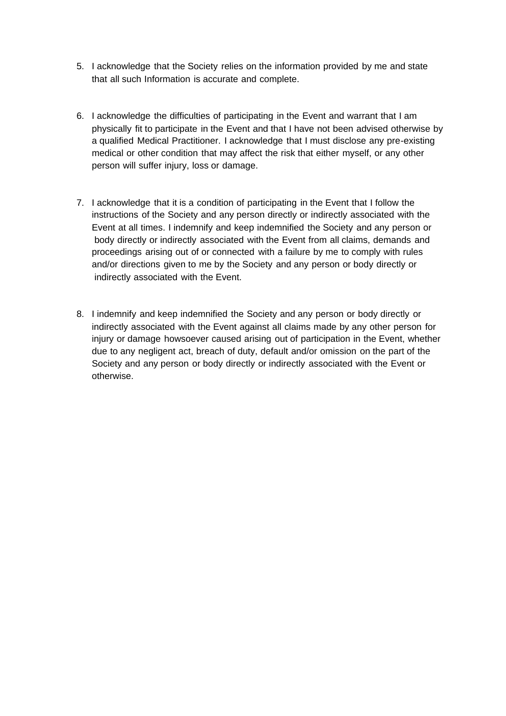- 5. I acknowledge that the Society relies on the information provided by me and state that all such Information is accurate and complete.
- 6. I acknowledge the difficulties of participating in the Event and warrant that I am physically fit to participate in the Event and that I have not been advised otherwise by a qualified Medical Practitioner. I acknowledge that I must disclose any pre-existing medical or other condition that may affect the risk that either myself, or any other person will suffer injury, loss or damage.
- 7. I acknowledge that it is a condition of participating in the Event that I follow the instructions of the Society and any person directly or indirectly associated with the Event at all times. I indemnify and keep indemnified the Society and any person or body directly or indirectly associated with the Event from all claims, demands and proceedings arising out of or connected with a failure by me to comply with rules and/or directions given to me by the Society and any person or body directly or indirectly associated with the Event.
- 8. I indemnify and keep indemnified the Society and any person or body directly or indirectly associated with the Event against all claims made by any other person for injury or damage howsoever caused arising out of participation in the Event, whether due to any negligent act, breach of duty, default and/or omission on the part of the Society and any person or body directly or indirectly associated with the Event or otherwise.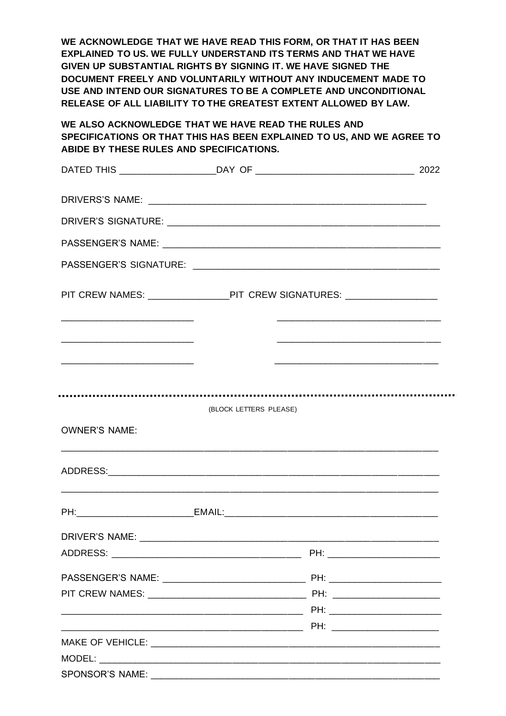**WE ACKNOWLEDGE THAT WE HAVE READ THIS FORM, OR THAT IT HAS BEEN EXPLAINED TO US. WE FULLY UNDERSTAND ITS TERMS AND THAT WE HAVE GIVEN UP SUBSTANTIAL RIGHTS BY SIGNING IT. WE HAVE SIGNED THE DOCUMENT FREELY AND VOLUNTARILY WITHOUT ANY INDUCEMENT MADE TO USE AND INTEND OUR SIGNATURES TO BE A COMPLETE AND UNCONDITIONAL RELEASE OF ALL LIABILITY TO THE GREATEST EXTENT ALLOWED BY LAW.** 

**WE ALSO ACKNOWLEDGE THAT WE HAVE READ THE RULES AND SPECIFICATIONS OR THAT THIS HAS BEEN EXPLAINED TO US, AND WE AGREE TO ABIDE BY THESE RULES AND SPECIFICATIONS.** 

|                      | PIT CREW NAMES: ________________________PIT CREW SIGNATURES: ___________________ |                                                                                                                       |
|----------------------|----------------------------------------------------------------------------------|-----------------------------------------------------------------------------------------------------------------------|
|                      |                                                                                  |                                                                                                                       |
|                      |                                                                                  | <u> 1989 - Johann Harry Harry Harry Harry Harry Harry Harry Harry Harry Harry Harry Harry Harry Harry Harry Harry</u> |
|                      |                                                                                  |                                                                                                                       |
|                      | (BLOCK LETTERS PLEASE)                                                           |                                                                                                                       |
| <b>OWNER'S NAME:</b> |                                                                                  |                                                                                                                       |
|                      |                                                                                  |                                                                                                                       |
|                      |                                                                                  |                                                                                                                       |
|                      |                                                                                  |                                                                                                                       |
|                      |                                                                                  |                                                                                                                       |
|                      |                                                                                  |                                                                                                                       |
|                      |                                                                                  |                                                                                                                       |
|                      |                                                                                  |                                                                                                                       |
|                      |                                                                                  |                                                                                                                       |
|                      |                                                                                  |                                                                                                                       |
|                      |                                                                                  |                                                                                                                       |